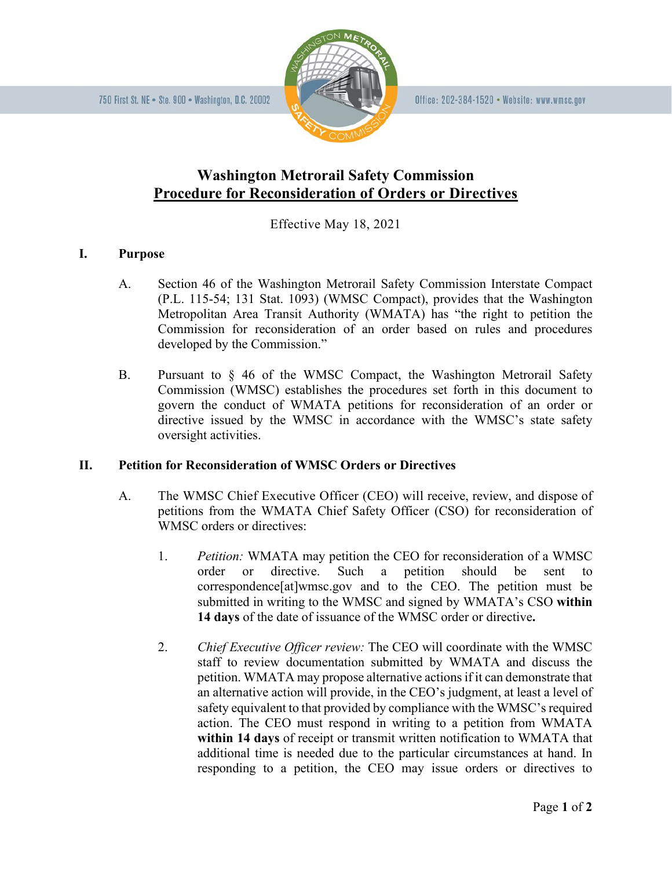

## **Washington Metrorail Safety Commission Procedure for Reconsideration of Orders or Directives**

Effective May 18, 2021

## **I. Purpose**

- A. Section 46 of the Washington Metrorail Safety Commission Interstate Compact (P.L. 115-54; 131 Stat. 1093) (WMSC Compact), provides that the Washington Metropolitan Area Transit Authority (WMATA) has "the right to petition the Commission for reconsideration of an order based on rules and procedures developed by the Commission."
- B. Pursuant to § 46 of the WMSC Compact, the Washington Metrorail Safety Commission (WMSC) establishes the procedures set forth in this document to govern the conduct of WMATA petitions for reconsideration of an order or directive issued by the WMSC in accordance with the WMSC's state safety oversight activities.

## **II. Petition for Reconsideration of WMSC Orders or Directives**

- A. The WMSC Chief Executive Officer (CEO) will receive, review, and dispose of petitions from the WMATA Chief Safety Officer (CSO) for reconsideration of WMSC orders or directives:
	- 1. *Petition:* WMATA may petition the CEO for reconsideration of a WMSC order or directive. Such a petition should be sent to correspondence[at]wmsc.gov and to the CEO. The petition must be submitted in writing to the WMSC and signed by WMATA's CSO **within 14 days** of the date of issuance of the WMSC order or directive**.**
	- 2. *Chief Executive Officer review:* The CEO will coordinate with the WMSC staff to review documentation submitted by WMATA and discuss the petition. WMATA may propose alternative actions if it can demonstrate that an alternative action will provide, in the CEO's judgment, at least a level of safety equivalent to that provided by compliance with the WMSC's required action. The CEO must respond in writing to a petition from WMATA **within 14 days** of receipt or transmit written notification to WMATA that additional time is needed due to the particular circumstances at hand. In responding to a petition, the CEO may issue orders or directives to